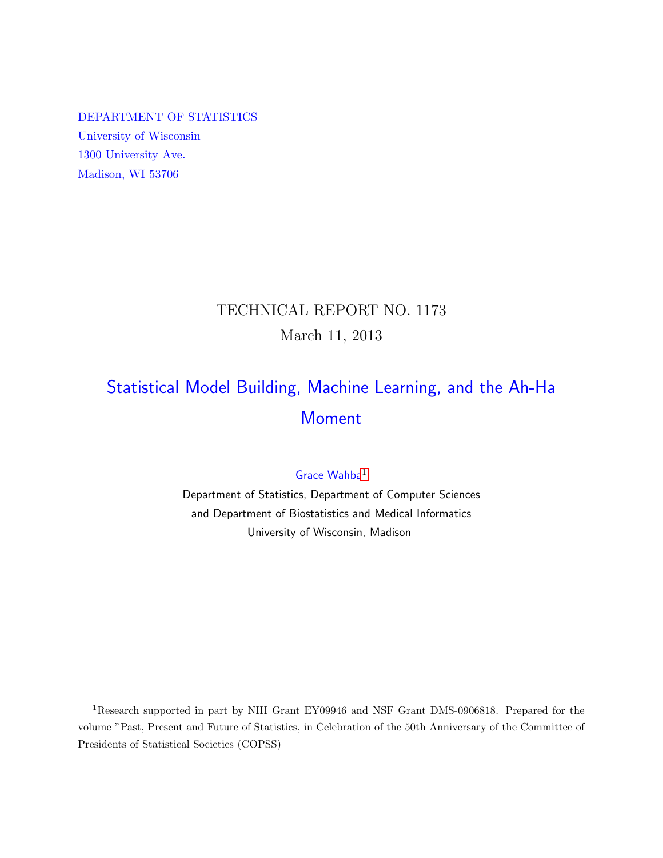DEPARTMENT OF STATISTICS University of Wisconsin 1300 University Ave. Madison, WI 53706

## TECHNICAL REPORT NO. 1173 March 11, 2013

# Statistical Model Building, Machine Learning, and the Ah-Ha Moment

## Grace Wahba<sup>[1](#page-0-0)</sup>

Department of Statistics, Department of Computer Sciences and Department of Biostatistics and Medical Informatics University of Wisconsin, Madison

<span id="page-0-0"></span><sup>1</sup>Research supported in part by NIH Grant EY09946 and NSF Grant DMS-0906818. Prepared for the volume "Past, Present and Future of Statistics, in Celebration of the 50th Anniversary of the Committee of Presidents of Statistical Societies (COPSS)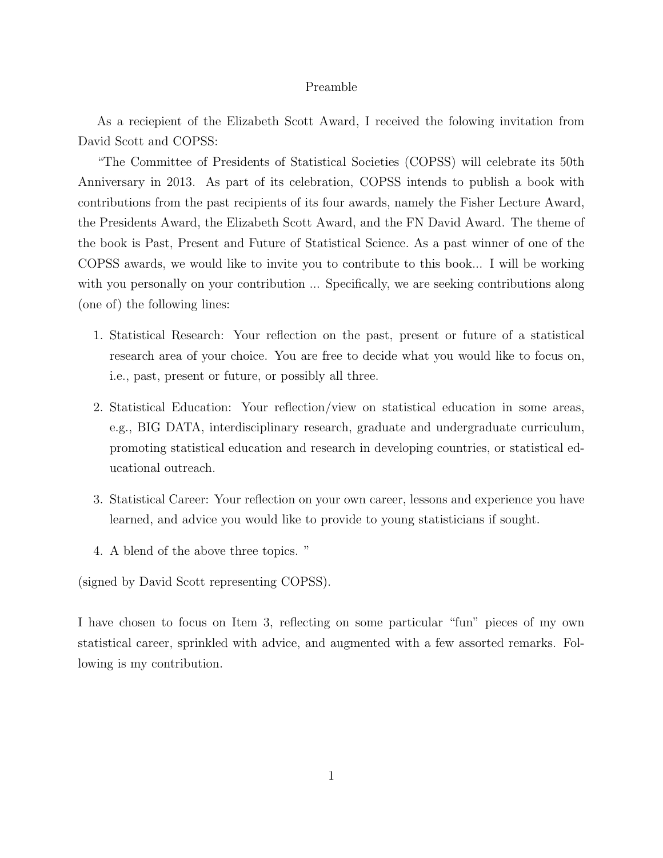#### Preamble

As a reciepient of the Elizabeth Scott Award, I received the folowing invitation from David Scott and COPSS:

"The Committee of Presidents of Statistical Societies (COPSS) will celebrate its 50th Anniversary in 2013. As part of its celebration, COPSS intends to publish a book with contributions from the past recipients of its four awards, namely the Fisher Lecture Award, the Presidents Award, the Elizabeth Scott Award, and the FN David Award. The theme of the book is Past, Present and Future of Statistical Science. As a past winner of one of the COPSS awards, we would like to invite you to contribute to this book... I will be working with you personally on your contribution ... Specifically, we are seeking contributions along (one of) the following lines:

- 1. Statistical Research: Your reflection on the past, present or future of a statistical research area of your choice. You are free to decide what you would like to focus on, i.e., past, present or future, or possibly all three.
- 2. Statistical Education: Your reflection/view on statistical education in some areas, e.g., BIG DATA, interdisciplinary research, graduate and undergraduate curriculum, promoting statistical education and research in developing countries, or statistical educational outreach.
- 3. Statistical Career: Your reflection on your own career, lessons and experience you have learned, and advice you would like to provide to young statisticians if sought.
- 4. A blend of the above three topics. "

(signed by David Scott representing COPSS).

I have chosen to focus on Item 3, reflecting on some particular "fun" pieces of my own statistical career, sprinkled with advice, and augmented with a few assorted remarks. Following is my contribution.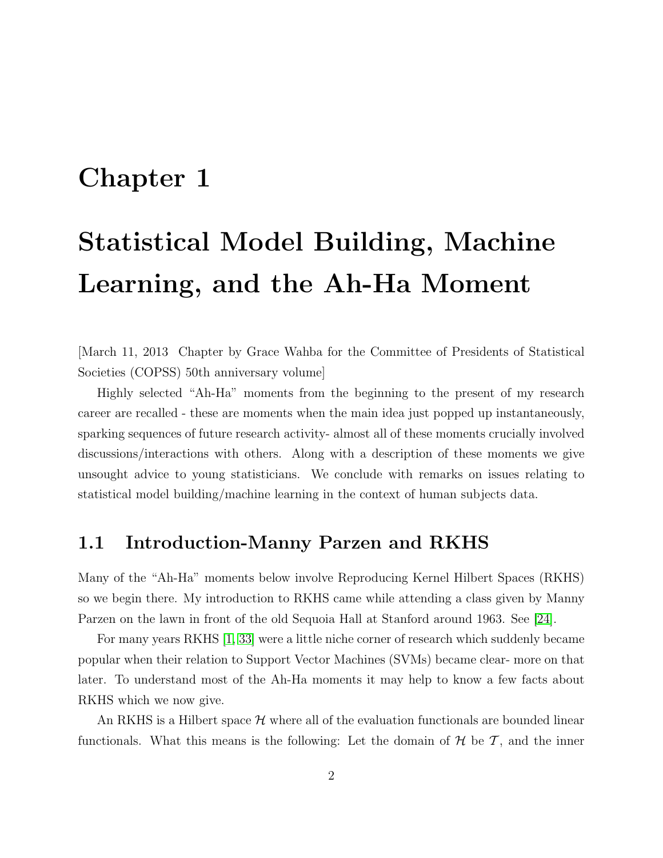# Chapter 1

# Statistical Model Building, Machine Learning, and the Ah-Ha Moment

[March 11, 2013 Chapter by Grace Wahba for the Committee of Presidents of Statistical Societies (COPSS) 50th anniversary volume]

Highly selected "Ah-Ha" moments from the beginning to the present of my research career are recalled - these are moments when the main idea just popped up instantaneously, sparking sequences of future research activity- almost all of these moments crucially involved discussions/interactions with others. Along with a description of these moments we give unsought advice to young statisticians. We conclude with remarks on issues relating to statistical model building/machine learning in the context of human subjects data.

## 1.1 Introduction-Manny Parzen and RKHS

Many of the "Ah-Ha" moments below involve Reproducing Kernel Hilbert Spaces (RKHS) so we begin there. My introduction to RKHS came while attending a class given by Manny Parzen on the lawn in front of the old Sequoia Hall at Stanford around 1963. See [\[24\]](#page-17-0).

For many years RKHS [\[1,](#page-15-0) [33\]](#page-17-1) were a little niche corner of research which suddenly became popular when their relation to Support Vector Machines (SVMs) became clear- more on that later. To understand most of the Ah-Ha moments it may help to know a few facts about RKHS which we now give.

An RKHS is a Hilbert space  $\mathcal H$  where all of the evaluation functionals are bounded linear functionals. What this means is the following: Let the domain of  $H$  be  $T$ , and the inner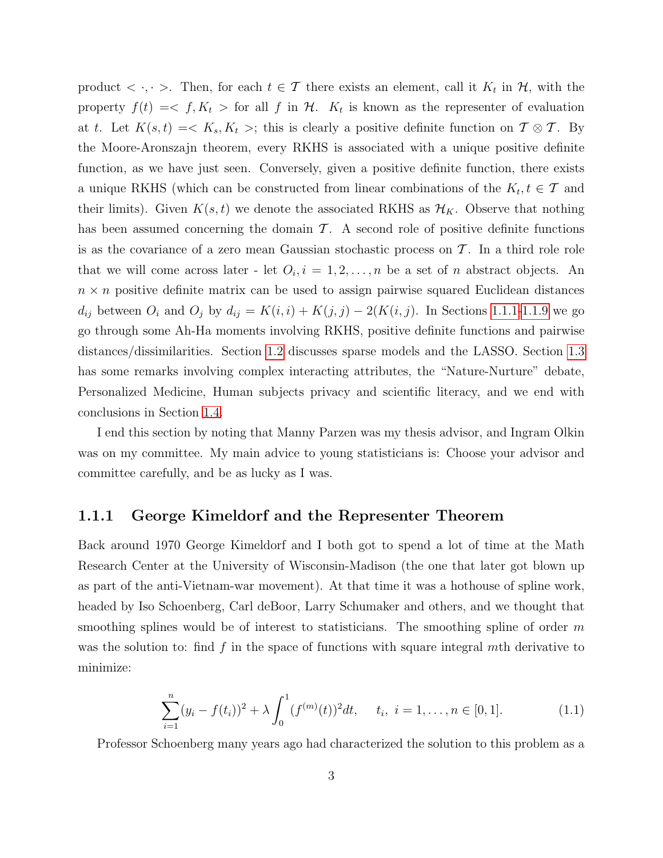product  $\langle \cdot, \cdot \rangle$ . Then, for each  $t \in \mathcal{T}$  there exists an element, call it  $K_t$  in  $\mathcal{H}$ , with the property  $f(t) = \langle f, K_t \rangle$  for all f in H.  $K_t$  is known as the representer of evaluation at t. Let  $K(s,t) = \langle K_s, K_t \rangle$ ; this is clearly a positive definite function on  $\mathcal{T} \otimes \mathcal{T}$ . By the Moore-Aronszajn theorem, every RKHS is associated with a unique positive definite function, as we have just seen. Conversely, given a positive definite function, there exists a unique RKHS (which can be constructed from linear combinations of the  $K_t, t \in \mathcal{T}$  and their limits). Given  $K(s, t)$  we denote the associated RKHS as  $\mathcal{H}_K$ . Observe that nothing has been assumed concerning the domain  $\mathcal{T}$ . A second role of positive definite functions is as the covariance of a zero mean Gaussian stochastic process on  $\mathcal T$ . In a third role role that we will come across later - let  $O_i$ ,  $i = 1, 2, ..., n$  be a set of n abstract objects. An  $n \times n$  positive definite matrix can be used to assign pairwise squared Euclidean distances  $d_{ij}$  between  $O_i$  and  $O_j$  by  $d_{ij} = K(i, i) + K(j, j) - 2(K(i, j))$ . In Sections [1.1.1](#page-3-0)[-1.1.9](#page-10-0) we go go through some Ah-Ha moments involving RKHS, positive definite functions and pairwise distances/dissimilarities. Section [1.2](#page-11-0) discusses sparse models and the LASSO. Section [1.3](#page-13-0) has some remarks involving complex interacting attributes, the "Nature-Nurture" debate, Personalized Medicine, Human subjects privacy and scientific literacy, and we end with conclusions in Section [1.4.](#page-13-1)

I end this section by noting that Manny Parzen was my thesis advisor, and Ingram Olkin was on my committee. My main advice to young statisticians is: Choose your advisor and committee carefully, and be as lucky as I was.

#### <span id="page-3-0"></span>1.1.1 George Kimeldorf and the Representer Theorem

Back around 1970 George Kimeldorf and I both got to spend a lot of time at the Math Research Center at the University of Wisconsin-Madison (the one that later got blown up as part of the anti-Vietnam-war movement). At that time it was a hothouse of spline work, headed by Iso Schoenberg, Carl deBoor, Larry Schumaker and others, and we thought that smoothing splines would be of interest to statisticians. The smoothing spline of order  $m$ was the solution to: find f in the space of functions with square integral mth derivative to minimize:

<span id="page-3-1"></span>
$$
\sum_{i=1}^{n} (y_i - f(t_i))^2 + \lambda \int_0^1 (f^{(m)}(t))^2 dt, \quad t_i, \ i = 1, \dots, n \in [0, 1]. \tag{1.1}
$$

Professor Schoenberg many years ago had characterized the solution to this problem as a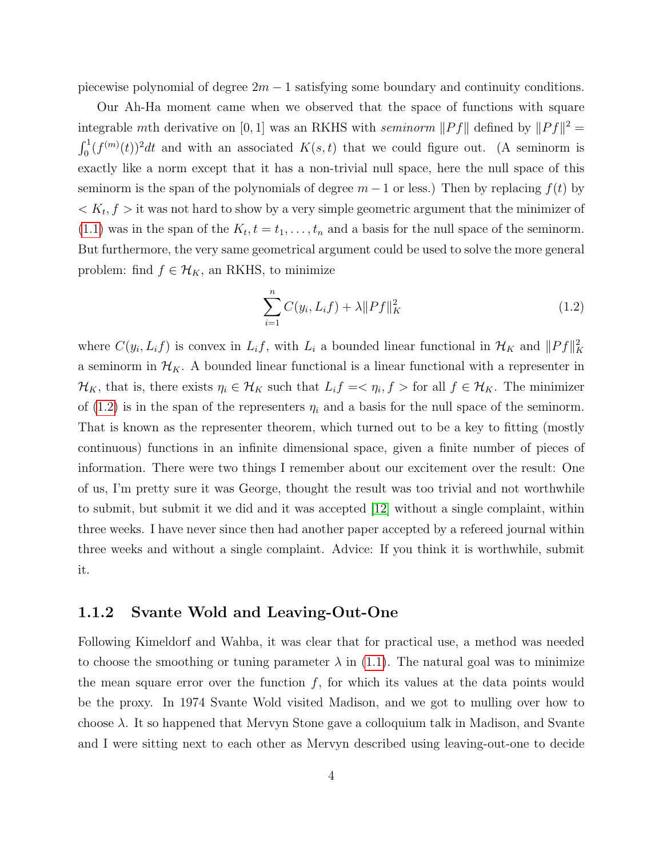piecewise polynomial of degree  $2m - 1$  satisfying some boundary and continuity conditions.

Our Ah-Ha moment came when we observed that the space of functions with square integrable mth derivative on [0, 1] was an RKHS with seminorm  $||Pf||$  defined by  $||Pf||^2 =$  $\int_0^1 (f^{(m)}(t))^2 dt$  and with an associated  $K(s,t)$  that we could figure out. (A seminorm is exactly like a norm except that it has a non-trivial null space, here the null space of this seminorm is the span of the polynomials of degree  $m-1$  or less.) Then by replacing  $f(t)$  by  $K_t, f >$  it was not hard to show by a very simple geometric argument that the minimizer of  $(1.1)$  was in the span of the  $K_t$ ,  $t = t_1, \ldots, t_n$  and a basis for the null space of the seminorm. But furthermore, the very same geometrical argument could be used to solve the more general problem: find  $f \in \mathcal{H}_K$ , an RKHS, to minimize

<span id="page-4-0"></span>
$$
\sum_{i=1}^{n} C(y_i, L_i f) + \lambda \|Pf\|_K^2
$$
\n(1.2)

where  $C(y_i, L_i f)$  is convex in  $L_i f$ , with  $L_i$  a bounded linear functional in  $\mathcal{H}_K$  and  $||Pf||_K^2$ a seminorm in  $\mathcal{H}_K$ . A bounded linear functional is a linear functional with a representer in  $\mathcal{H}_K$ , that is, there exists  $\eta_i \in \mathcal{H}_K$  such that  $L_i f = \langle \eta_i, f \rangle$  for all  $f \in \mathcal{H}_K$ . The minimizer of [\(1.2\)](#page-4-0) is in the span of the representers  $\eta_i$  and a basis for the null space of the seminorm. That is known as the representer theorem, which turned out to be a key to fitting (mostly continuous) functions in an infinite dimensional space, given a finite number of pieces of information. There were two things I remember about our excitement over the result: One of us, I'm pretty sure it was George, thought the result was too trivial and not worthwhile to submit, but submit it we did and it was accepted [\[12\]](#page-16-0) without a single complaint, within three weeks. I have never since then had another paper accepted by a refereed journal within three weeks and without a single complaint. Advice: If you think it is worthwhile, submit it.

#### 1.1.2 Svante Wold and Leaving-Out-One

Following Kimeldorf and Wahba, it was clear that for practical use, a method was needed to choose the smoothing or tuning parameter  $\lambda$  in [\(1.1\)](#page-3-1). The natural goal was to minimize the mean square error over the function  $f$ , for which its values at the data points would be the proxy. In 1974 Svante Wold visited Madison, and we got to mulling over how to choose  $\lambda$ . It so happened that Mervyn Stone gave a colloquium talk in Madison, and Svante and I were sitting next to each other as Mervyn described using leaving-out-one to decide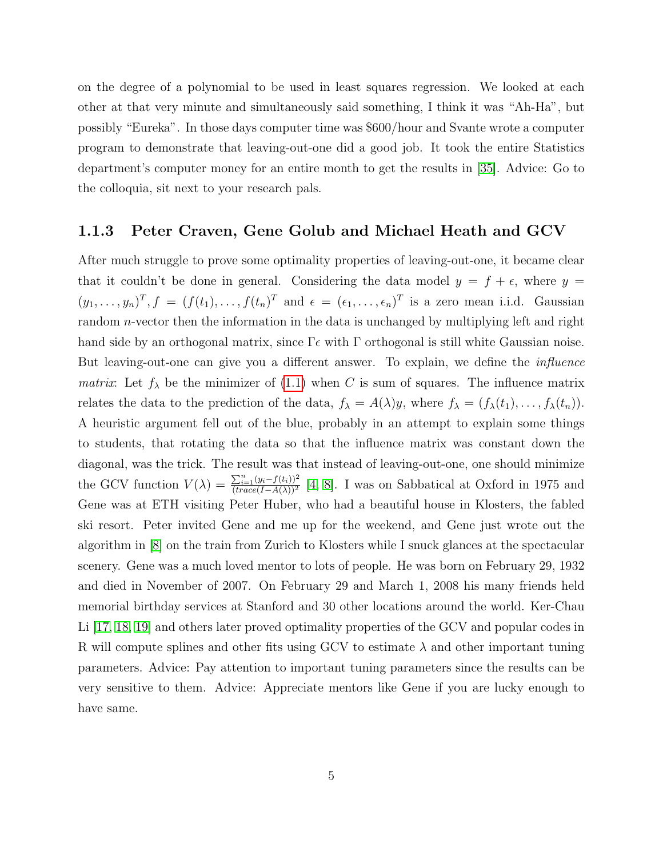on the degree of a polynomial to be used in least squares regression. We looked at each other at that very minute and simultaneously said something, I think it was "Ah-Ha", but possibly "Eureka". In those days computer time was \$600/hour and Svante wrote a computer program to demonstrate that leaving-out-one did a good job. It took the entire Statistics department's computer money for an entire month to get the results in [\[35\]](#page-18-0). Advice: Go to the colloquia, sit next to your research pals.

#### 1.1.3 Peter Craven, Gene Golub and Michael Heath and GCV

After much struggle to prove some optimality properties of leaving-out-one, it became clear that it couldn't be done in general. Considering the data model  $y = f + \epsilon$ , where  $y =$  $(y_1,\ldots,y_n)^T$ ,  $f = (f(t_1),\ldots,f(t_n)^T$  and  $\epsilon = (\epsilon_1,\ldots,\epsilon_n)^T$  is a zero mean i.i.d. Gaussian random *n*-vector then the information in the data is unchanged by multiplying left and right hand side by an orthogonal matrix, since  $\Gamma \epsilon$  with  $\Gamma$  orthogonal is still white Gaussian noise. But leaving-out-one can give you a different answer. To explain, we define the *influence matrix*: Let  $f_{\lambda}$  be the minimizer of [\(1.1\)](#page-3-1) when C is sum of squares. The influence matrix relates the data to the prediction of the data,  $f_{\lambda} = A(\lambda)y$ , where  $f_{\lambda} = (f_{\lambda}(t_1), \ldots, f_{\lambda}(t_n)).$ A heuristic argument fell out of the blue, probably in an attempt to explain some things to students, that rotating the data so that the influence matrix was constant down the diagonal, was the trick. The result was that instead of leaving-out-one, one should minimize the GCV function  $V(\lambda) = \frac{\sum_{i=1}^{n} (y_i - f(t_i))^2}{(trace(I - A(\lambda)))^2}$  $\frac{\sum_{i=1}(y_i - J(t_i))^2}{(trace(I-A(\lambda)))^2}$  [\[4,](#page-15-1) [8\]](#page-15-2). I was on Sabbatical at Oxford in 1975 and Gene was at ETH visiting Peter Huber, who had a beautiful house in Klosters, the fabled ski resort. Peter invited Gene and me up for the weekend, and Gene just wrote out the algorithm in [\[8\]](#page-15-2) on the train from Zurich to Klosters while I snuck glances at the spectacular scenery. Gene was a much loved mentor to lots of people. He was born on February 29, 1932 and died in November of 2007. On February 29 and March 1, 2008 his many friends held memorial birthday services at Stanford and 30 other locations around the world. Ker-Chau Li [\[17,](#page-16-1) [18,](#page-16-2) [19\]](#page-16-3) and others later proved optimality properties of the GCV and popular codes in R will compute splines and other fits using GCV to estimate  $\lambda$  and other important tuning parameters. Advice: Pay attention to important tuning parameters since the results can be very sensitive to them. Advice: Appreciate mentors like Gene if you are lucky enough to have same.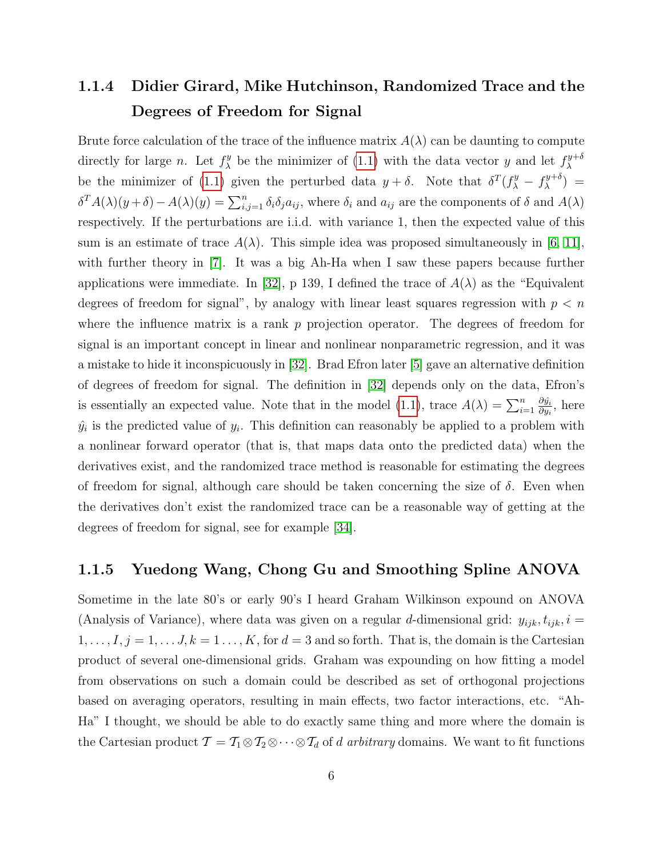## <span id="page-6-0"></span>1.1.4 Didier Girard, Mike Hutchinson, Randomized Trace and the Degrees of Freedom for Signal

Brute force calculation of the trace of the influence matrix  $A(\lambda)$  can be daunting to compute directly for large *n*. Let  $f_{\lambda}^{y}$  $\chi^y$  be the minimizer of [\(1.1\)](#page-3-1) with the data vector y and let  $f^{y+\delta}_\lambda$ λ be the minimizer of [\(1.1\)](#page-3-1) given the perturbed data  $y + \delta$ . Note that  $\delta^T(f^y_\lambda - f^{y+\delta}_\lambda)$  $\lambda^{y+\delta}$ ) =  $\delta^T A(\lambda)(y+\delta) - A(\lambda)(y) = \sum_{i,j=1}^n \delta_i \delta_j a_{ij}$ , where  $\delta_i$  and  $a_{ij}$  are the components of  $\delta$  and  $A(\lambda)$ respectively. If the perturbations are i.i.d. with variance 1, then the expected value of this sum is an estimate of trace  $A(\lambda)$ . This simple idea was proposed simultaneously in [\[6,](#page-15-3) [11\]](#page-16-4), with further theory in [\[7\]](#page-15-4). It was a big Ah-Ha when I saw these papers because further applications were immediate. In [\[32\]](#page-17-2), p 139, I defined the trace of  $A(\lambda)$  as the "Equivalent" degrees of freedom for signal", by analogy with linear least squares regression with  $p < n$ where the influence matrix is a rank  $p$  projection operator. The degrees of freedom for signal is an important concept in linear and nonlinear nonparametric regression, and it was a mistake to hide it inconspicuously in [\[32\]](#page-17-2). Brad Efron later [\[5\]](#page-15-5) gave an alternative definition of degrees of freedom for signal. The definition in [\[32\]](#page-17-2) depends only on the data, Efron's is essentially an expected value. Note that in the model [\(1.1\)](#page-3-1), trace  $A(\lambda) = \sum_{i=1}^n \frac{\partial \hat{y}_i}{\partial y_i}$  $\frac{\partial \ddot{y_i}}{\partial y_i}$ , here  $\hat{y}_i$  is the predicted value of  $y_i$ . This definition can reasonably be applied to a problem with a nonlinear forward operator (that is, that maps data onto the predicted data) when the derivatives exist, and the randomized trace method is reasonable for estimating the degrees of freedom for signal, although care should be taken concerning the size of  $\delta$ . Even when the derivatives don't exist the randomized trace can be a reasonable way of getting at the degrees of freedom for signal, see for example [\[34\]](#page-18-1).

#### 1.1.5 Yuedong Wang, Chong Gu and Smoothing Spline ANOVA

Sometime in the late 80's or early 90's I heard Graham Wilkinson expound on ANOVA (Analysis of Variance), where data was given on a regular d-dimensional grid:  $y_{ijk}$ ,  $t_{ijk}$ ,  $i =$  $1, \ldots, I, j = 1, \ldots, J, k = 1, \ldots, K$ , for  $d = 3$  and so forth. That is, the domain is the Cartesian product of several one-dimensional grids. Graham was expounding on how fitting a model from observations on such a domain could be described as set of orthogonal projections based on averaging operators, resulting in main effects, two factor interactions, etc. "Ah-Ha" I thought, we should be able to do exactly same thing and more where the domain is the Cartesian product  $\mathcal{T} = \mathcal{T}_1 \otimes \mathcal{T}_2 \otimes \cdots \otimes \mathcal{T}_d$  of d arbitrary domains. We want to fit functions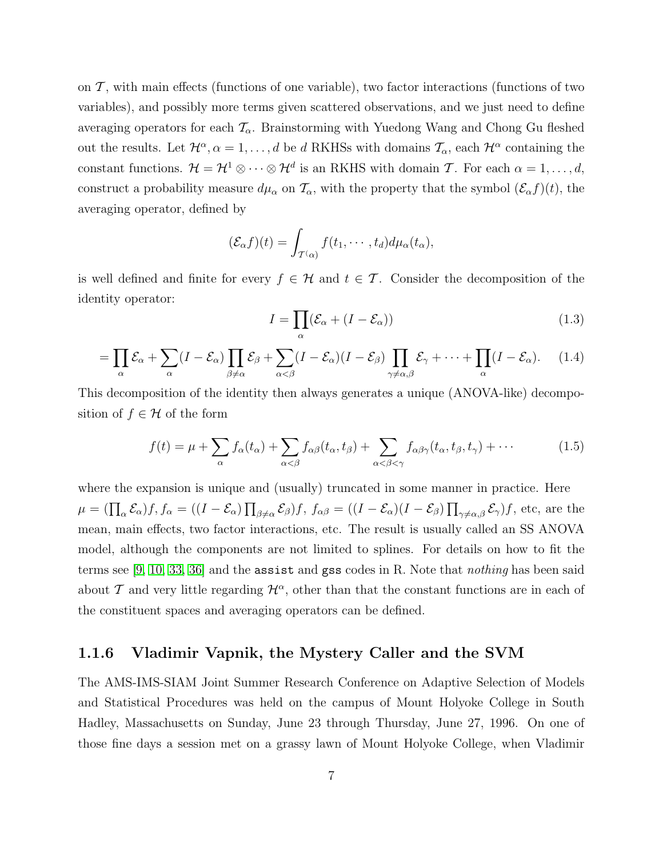on  $\mathcal T$ , with main effects (functions of one variable), two factor interactions (functions of two variables), and possibly more terms given scattered observations, and we just need to define averaging operators for each  $\mathcal{T}_{\alpha}$ . Brainstorming with Yuedong Wang and Chong Gu fleshed out the results. Let  $\mathcal{H}^{\alpha}, \alpha = 1, \ldots, d$  be d RKHSs with domains  $\mathcal{T}_{\alpha}$ , each  $\mathcal{H}^{\alpha}$  containing the constant functions.  $\mathcal{H} = \mathcal{H}^1 \otimes \cdots \otimes \mathcal{H}^d$  is an RKHS with domain T. For each  $\alpha = 1, \ldots, d$ , construct a probability measure  $d\mu_{\alpha}$  on  $\mathcal{T}_{\alpha}$ , with the property that the symbol  $(\mathcal{E}_{\alpha}f)(t)$ , the averaging operator, defined by

$$
(\mathcal{E}_{\alpha}f)(t)=\int_{\mathcal{T}(\alpha)}f(t_1,\cdots,t_d)d\mu_{\alpha}(t_{\alpha}),
$$

is well defined and finite for every  $f \in \mathcal{H}$  and  $t \in \mathcal{T}$ . Consider the decomposition of the identity operator:

$$
I = \prod_{\alpha} (\mathcal{E}_{\alpha} + (I - \mathcal{E}_{\alpha})) \tag{1.3}
$$

$$
= \prod_{\alpha} \mathcal{E}_{\alpha} + \sum_{\alpha} (I - \mathcal{E}_{\alpha}) \prod_{\beta \neq \alpha} \mathcal{E}_{\beta} + \sum_{\alpha < \beta} (I - \mathcal{E}_{\alpha}) (I - \mathcal{E}_{\beta}) \prod_{\gamma \neq \alpha, \beta} \mathcal{E}_{\gamma} + \dots + \prod_{\alpha} (I - \mathcal{E}_{\alpha}). \tag{1.4}
$$

This decomposition of the identity then always generates a unique (ANOVA-like) decomposition of  $f \in \mathcal{H}$  of the form

$$
f(t) = \mu + \sum_{\alpha} f_{\alpha}(t_{\alpha}) + \sum_{\alpha < \beta} f_{\alpha\beta}(t_{\alpha}, t_{\beta}) + \sum_{\alpha < \beta < \gamma} f_{\alpha\beta\gamma}(t_{\alpha}, t_{\beta}, t_{\gamma}) + \cdots
$$
(1.5)

where the expansion is unique and (usually) truncated in some manner in practice. Here  $\mu = \left(\prod_{\alpha} \mathcal{E}_{\alpha}\right) f, f_{\alpha} = \left((I - \mathcal{E}_{\alpha}) \prod_{\beta \neq \alpha} \mathcal{E}_{\beta}\right) f, f_{\alpha\beta} = \left((I - \mathcal{E}_{\alpha})(I - \mathcal{E}_{\beta}) \prod_{\gamma \neq \alpha, \beta} \mathcal{E}_{\gamma}\right) f$ , etc, are the mean, main effects, two factor interactions, etc. The result is usually called an SS ANOVA model, although the components are not limited to splines. For details on how to fit the terms see [\[9,](#page-15-6) [10,](#page-16-5) [33,](#page-17-1) [36\]](#page-18-2) and the assist and gss codes in R. Note that nothing has been said about T and very little regarding  $\mathcal{H}^{\alpha}$ , other than that the constant functions are in each of the constituent spaces and averaging operators can be defined.

#### 1.1.6 Vladimir Vapnik, the Mystery Caller and the SVM

The AMS-IMS-SIAM Joint Summer Research Conference on Adaptive Selection of Models and Statistical Procedures was held on the campus of Mount Holyoke College in South Hadley, Massachusetts on Sunday, June 23 through Thursday, June 27, 1996. On one of those fine days a session met on a grassy lawn of Mount Holyoke College, when Vladimir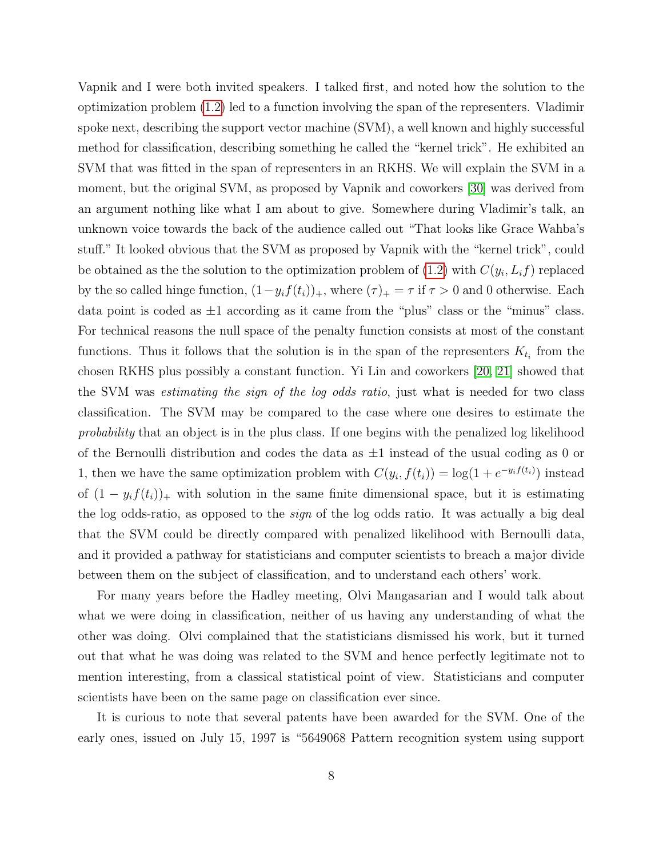Vapnik and I were both invited speakers. I talked first, and noted how the solution to the optimization problem [\(1.2\)](#page-4-0) led to a function involving the span of the representers. Vladimir spoke next, describing the support vector machine (SVM), a well known and highly successful method for classification, describing something he called the "kernel trick". He exhibited an SVM that was fitted in the span of representers in an RKHS. We will explain the SVM in a moment, but the original SVM, as proposed by Vapnik and coworkers [\[30\]](#page-17-3) was derived from an argument nothing like what I am about to give. Somewhere during Vladimir's talk, an unknown voice towards the back of the audience called out "That looks like Grace Wahba's stuff." It looked obvious that the SVM as proposed by Vapnik with the "kernel trick", could be obtained as the the solution to the optimization problem of  $(1.2)$  with  $C(y_i, L_i f)$  replaced by the so called hinge function,  $(1-y_i f(t_i))_+$ , where  $(\tau)_+ = \tau$  if  $\tau > 0$  and 0 otherwise. Each data point is coded as  $\pm 1$  according as it came from the "plus" class or the "minus" class. For technical reasons the null space of the penalty function consists at most of the constant functions. Thus it follows that the solution is in the span of the representers  $K_{t_i}$  from the chosen RKHS plus possibly a constant function. Yi Lin and coworkers [\[20,](#page-16-6) [21\]](#page-16-7) showed that the SVM was estimating the sign of the log odds ratio, just what is needed for two class classification. The SVM may be compared to the case where one desires to estimate the probability that an object is in the plus class. If one begins with the penalized log likelihood of the Bernoulli distribution and codes the data as  $\pm 1$  instead of the usual coding as 0 or 1, then we have the same optimization problem with  $C(y_i, f(t_i)) = \log(1 + e^{-y_i f(t_i)})$  instead of  $(1 - y_i f(t_i))_+$  with solution in the same finite dimensional space, but it is estimating the log odds-ratio, as opposed to the sign of the log odds ratio. It was actually a big deal that the SVM could be directly compared with penalized likelihood with Bernoulli data, and it provided a pathway for statisticians and computer scientists to breach a major divide between them on the subject of classification, and to understand each others' work.

For many years before the Hadley meeting, Olvi Mangasarian and I would talk about what we were doing in classification, neither of us having any understanding of what the other was doing. Olvi complained that the statisticians dismissed his work, but it turned out that what he was doing was related to the SVM and hence perfectly legitimate not to mention interesting, from a classical statistical point of view. Statisticians and computer scientists have been on the same page on classification ever since.

It is curious to note that several patents have been awarded for the SVM. One of the early ones, issued on July 15, 1997 is "5649068 Pattern recognition system using support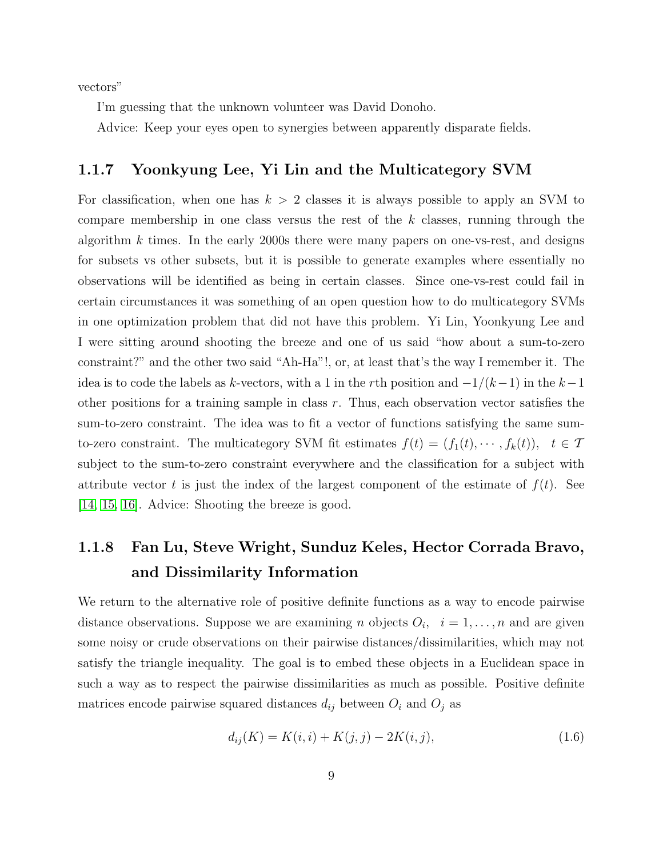vectors"

I'm guessing that the unknown volunteer was David Donoho.

Advice: Keep your eyes open to synergies between apparently disparate fields.

## 1.1.7 Yoonkyung Lee, Yi Lin and the Multicategory SVM

For classification, when one has  $k > 2$  classes it is always possible to apply an SVM to compare membership in one class versus the rest of the  $k$  classes, running through the algorithm  $k$  times. In the early 2000s there were many papers on one-vs-rest, and designs for subsets vs other subsets, but it is possible to generate examples where essentially no observations will be identified as being in certain classes. Since one-vs-rest could fail in certain circumstances it was something of an open question how to do multicategory SVMs in one optimization problem that did not have this problem. Yi Lin, Yoonkyung Lee and I were sitting around shooting the breeze and one of us said "how about a sum-to-zero constraint?" and the other two said "Ah-Ha"!, or, at least that's the way I remember it. The idea is to code the labels as k-vectors, with a 1 in the rth position and  $-1/(k-1)$  in the  $k-1$ other positions for a training sample in class r. Thus, each observation vector satisfies the sum-to-zero constraint. The idea was to fit a vector of functions satisfying the same sumto-zero constraint. The multicategory SVM fit estimates  $f(t) = (f_1(t), \dots, f_k(t)), \quad t \in \mathcal{T}$ subject to the sum-to-zero constraint everywhere and the classification for a subject with attribute vector t is just the index of the largest component of the estimate of  $f(t)$ . See [\[14,](#page-16-8) [15,](#page-16-9) [16\]](#page-16-10). Advice: Shooting the breeze is good.

## 1.1.8 Fan Lu, Steve Wright, Sunduz Keles, Hector Corrada Bravo, and Dissimilarity Information

We return to the alternative role of positive definite functions as a way to encode pairwise distance observations. Suppose we are examining *n* objects  $O_i$ ,  $i = 1, \ldots, n$  and are given some noisy or crude observations on their pairwise distances/dissimilarities, which may not satisfy the triangle inequality. The goal is to embed these objects in a Euclidean space in such a way as to respect the pairwise dissimilarities as much as possible. Positive definite matrices encode pairwise squared distances  $d_{ij}$  between  $O_i$  and  $O_j$  as

$$
d_{ij}(K) = K(i,i) + K(j,j) - 2K(i,j),
$$
\n(1.6)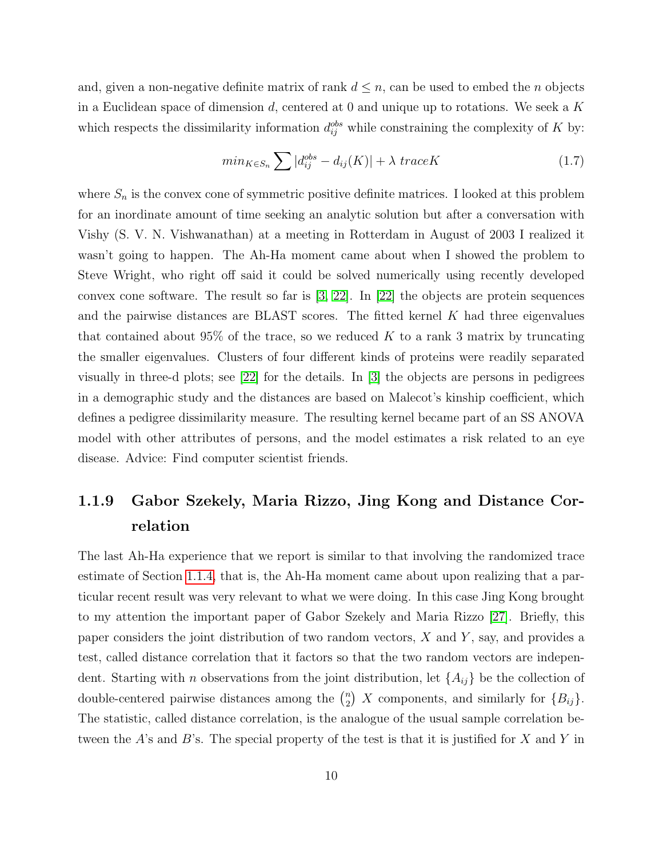and, given a non-negative definite matrix of rank  $d \leq n$ , can be used to embed the *n* objects in a Euclidean space of dimension  $d$ , centered at 0 and unique up to rotations. We seek a K which respects the dissimilarity information  $d_{ij}^{obs}$  while constraining the complexity of K by:

<span id="page-10-1"></span>
$$
min_{K \in S_n} \sum |d_{ij}^{obs} - d_{ij}(K)| + \lambda \ traceK \tag{1.7}
$$

where  $S_n$  is the convex cone of symmetric positive definite matrices. I looked at this problem for an inordinate amount of time seeking an analytic solution but after a conversation with Vishy (S. V. N. Vishwanathan) at a meeting in Rotterdam in August of 2003 I realized it wasn't going to happen. The Ah-Ha moment came about when I showed the problem to Steve Wright, who right off said it could be solved numerically using recently developed convex cone software. The result so far is  $[3, 22]$  $[3, 22]$ . In  $[22]$  the objects are protein sequences and the pairwise distances are BLAST scores. The fitted kernel  $K$  had three eigenvalues that contained about 95% of the trace, so we reduced  $K$  to a rank 3 matrix by truncating the smaller eigenvalues. Clusters of four different kinds of proteins were readily separated visually in three-d plots; see [\[22\]](#page-17-4) for the details. In [\[3\]](#page-15-7) the objects are persons in pedigrees in a demographic study and the distances are based on Malecot's kinship coefficient, which defines a pedigree dissimilarity measure. The resulting kernel became part of an SS ANOVA model with other attributes of persons, and the model estimates a risk related to an eye disease. Advice: Find computer scientist friends.

## <span id="page-10-0"></span>1.1.9 Gabor Szekely, Maria Rizzo, Jing Kong and Distance Correlation

The last Ah-Ha experience that we report is similar to that involving the randomized trace estimate of Section [1.1.4,](#page-6-0) that is, the Ah-Ha moment came about upon realizing that a particular recent result was very relevant to what we were doing. In this case Jing Kong brought to my attention the important paper of Gabor Szekely and Maria Rizzo [\[27\]](#page-17-5). Briefly, this paper considers the joint distribution of two random vectors,  $X$  and  $Y$ , say, and provides a test, called distance correlation that it factors so that the two random vectors are independent. Starting with *n* observations from the joint distribution, let  $\{A_{ij}\}\$ be the collection of double-centered pairwise distances among the  $\binom{n}{2}$  $\binom{n}{2}$  X components, and similarly for  $\{B_{ij}\}.$ The statistic, called distance correlation, is the analogue of the usual sample correlation between the A's and B's. The special property of the test is that it is justified for X and Y in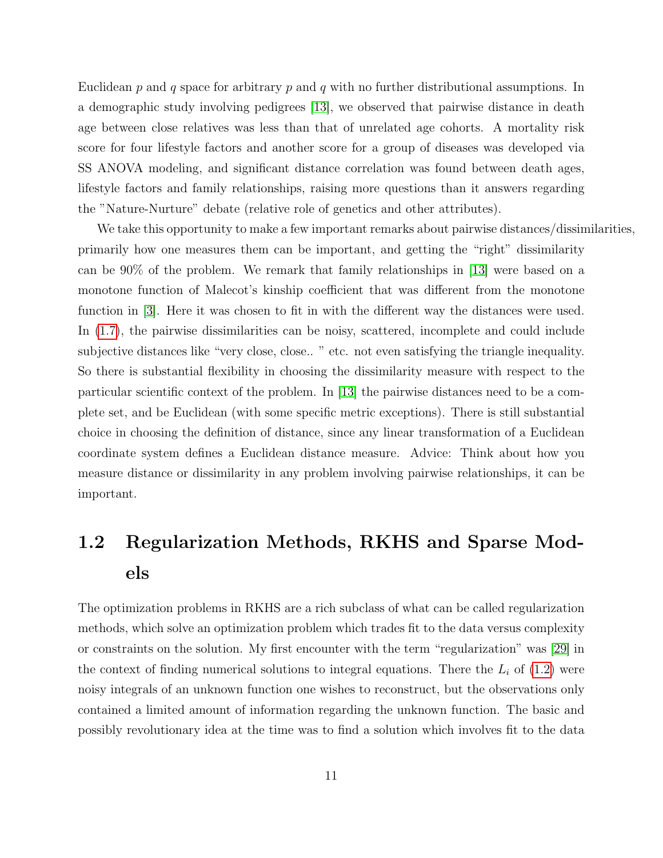Euclidean  $p$  and  $q$  space for arbitrary  $p$  and  $q$  with no further distributional assumptions. In a demographic study involving pedigrees [\[13\]](#page-16-11), we observed that pairwise distance in death age between close relatives was less than that of unrelated age cohorts. A mortality risk score for four lifestyle factors and another score for a group of diseases was developed via SS ANOVA modeling, and significant distance correlation was found between death ages, lifestyle factors and family relationships, raising more questions than it answers regarding the "Nature-Nurture" debate (relative role of genetics and other attributes).

We take this opportunity to make a few important remarks about pairwise distances/dissimilarities, primarily how one measures them can be important, and getting the "right" dissimilarity can be 90% of the problem. We remark that family relationships in [\[13\]](#page-16-11) were based on a monotone function of Malecot's kinship coefficient that was different from the monotone function in [\[3\]](#page-15-7). Here it was chosen to fit in with the different way the distances were used. In [\(1.7\)](#page-10-1), the pairwise dissimilarities can be noisy, scattered, incomplete and could include subjective distances like "very close, close.. " etc. not even satisfying the triangle inequality. So there is substantial flexibility in choosing the dissimilarity measure with respect to the particular scientific context of the problem. In [\[13\]](#page-16-11) the pairwise distances need to be a complete set, and be Euclidean (with some specific metric exceptions). There is still substantial choice in choosing the definition of distance, since any linear transformation of a Euclidean coordinate system defines a Euclidean distance measure. Advice: Think about how you measure distance or dissimilarity in any problem involving pairwise relationships, it can be important.

# <span id="page-11-0"></span>1.2 Regularization Methods, RKHS and Sparse Models

The optimization problems in RKHS are a rich subclass of what can be called regularization methods, which solve an optimization problem which trades fit to the data versus complexity or constraints on the solution. My first encounter with the term "regularization" was [\[29\]](#page-17-6) in the context of finding numerical solutions to integral equations. There the  $L_i$  of [\(1.2\)](#page-4-0) were noisy integrals of an unknown function one wishes to reconstruct, but the observations only contained a limited amount of information regarding the unknown function. The basic and possibly revolutionary idea at the time was to find a solution which involves fit to the data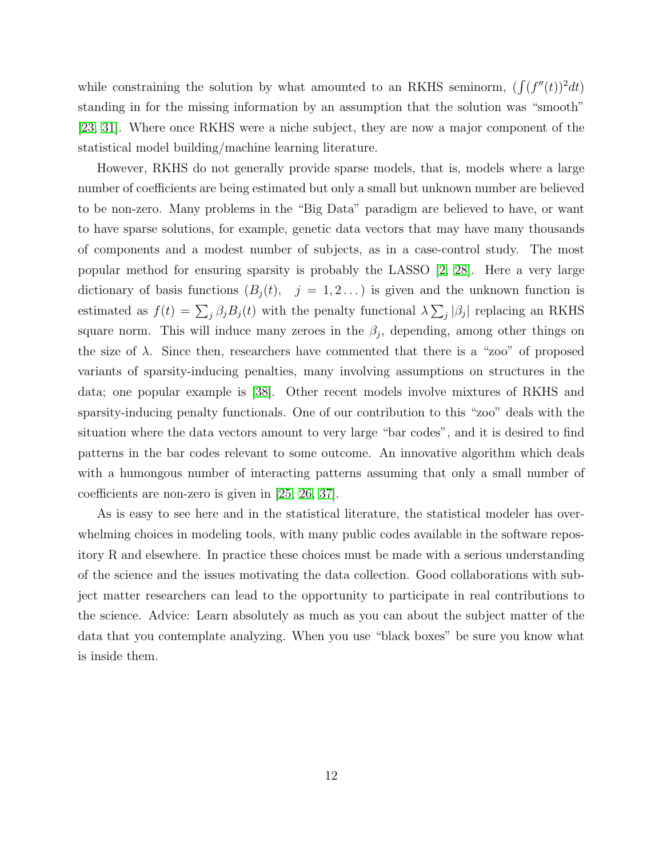while constraining the solution by what amounted to an RKHS seminorm,  $\left(\int (f''(t))^2 dt\right)$ standing in for the missing information by an assumption that the solution was "smooth" [\[23,](#page-17-7) [31\]](#page-17-8). Where once RKHS were a niche subject, they are now a major component of the statistical model building/machine learning literature.

However, RKHS do not generally provide sparse models, that is, models where a large number of coefficients are being estimated but only a small but unknown number are believed to be non-zero. Many problems in the "Big Data" paradigm are believed to have, or want to have sparse solutions, for example, genetic data vectors that may have many thousands of components and a modest number of subjects, as in a case-control study. The most popular method for ensuring sparsity is probably the LASSO [\[2,](#page-15-8) [28\]](#page-17-9). Here a very large dictionary of basis functions  $(B_j(t), j = 1, 2...)$  is given and the unknown function is estimated as  $f(t) = \sum_j \beta_j B_j(t)$  with the penalty functional  $\lambda \sum_j |\beta_j|$  replacing an RKHS square norm. This will induce many zeroes in the  $\beta_j$ , depending, among other things on the size of  $\lambda$ . Since then, researchers have commented that there is a "zoo" of proposed variants of sparsity-inducing penalties, many involving assumptions on structures in the data; one popular example is [\[38\]](#page-18-3). Other recent models involve mixtures of RKHS and sparsity-inducing penalty functionals. One of our contribution to this "zoo" deals with the situation where the data vectors amount to very large "bar codes", and it is desired to find patterns in the bar codes relevant to some outcome. An innovative algorithm which deals with a humongous number of interacting patterns assuming that only a small number of coefficients are non-zero is given in [\[25,](#page-17-10) [26,](#page-17-11) [37\]](#page-18-4).

As is easy to see here and in the statistical literature, the statistical modeler has overwhelming choices in modeling tools, with many public codes available in the software repository R and elsewhere. In practice these choices must be made with a serious understanding of the science and the issues motivating the data collection. Good collaborations with subject matter researchers can lead to the opportunity to participate in real contributions to the science. Advice: Learn absolutely as much as you can about the subject matter of the data that you contemplate analyzing. When you use "black boxes" be sure you know what is inside them.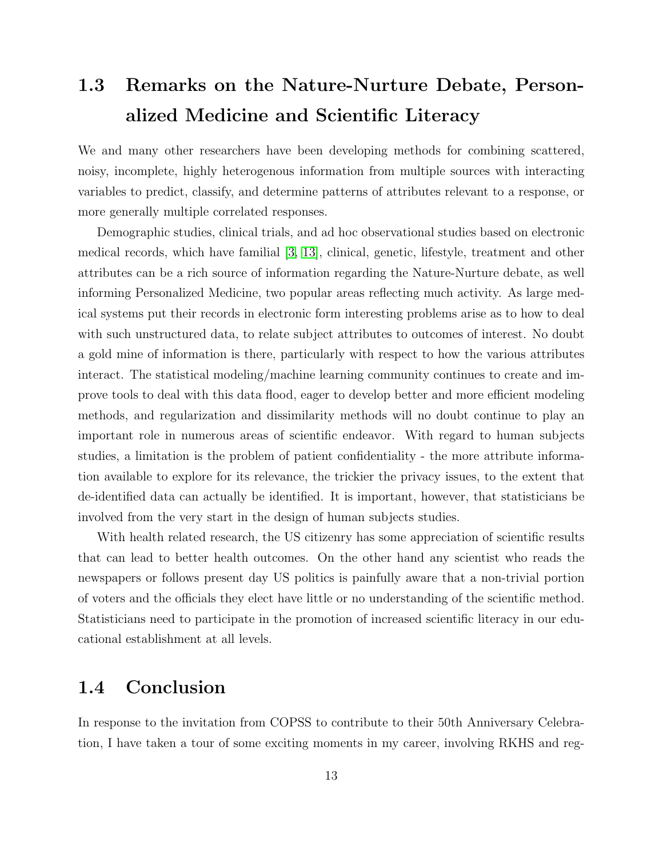# <span id="page-13-0"></span>1.3 Remarks on the Nature-Nurture Debate, Personalized Medicine and Scientific Literacy

We and many other researchers have been developing methods for combining scattered, noisy, incomplete, highly heterogenous information from multiple sources with interacting variables to predict, classify, and determine patterns of attributes relevant to a response, or more generally multiple correlated responses.

Demographic studies, clinical trials, and ad hoc observational studies based on electronic medical records, which have familial [\[3,](#page-15-7) [13\]](#page-16-11), clinical, genetic, lifestyle, treatment and other attributes can be a rich source of information regarding the Nature-Nurture debate, as well informing Personalized Medicine, two popular areas reflecting much activity. As large medical systems put their records in electronic form interesting problems arise as to how to deal with such unstructured data, to relate subject attributes to outcomes of interest. No doubt a gold mine of information is there, particularly with respect to how the various attributes interact. The statistical modeling/machine learning community continues to create and improve tools to deal with this data flood, eager to develop better and more efficient modeling methods, and regularization and dissimilarity methods will no doubt continue to play an important role in numerous areas of scientific endeavor. With regard to human subjects studies, a limitation is the problem of patient confidentiality - the more attribute information available to explore for its relevance, the trickier the privacy issues, to the extent that de-identified data can actually be identified. It is important, however, that statisticians be involved from the very start in the design of human subjects studies.

With health related research, the US citizenry has some appreciation of scientific results that can lead to better health outcomes. On the other hand any scientist who reads the newspapers or follows present day US politics is painfully aware that a non-trivial portion of voters and the officials they elect have little or no understanding of the scientific method. Statisticians need to participate in the promotion of increased scientific literacy in our educational establishment at all levels.

## <span id="page-13-1"></span>1.4 Conclusion

In response to the invitation from COPSS to contribute to their 50th Anniversary Celebration, I have taken a tour of some exciting moments in my career, involving RKHS and reg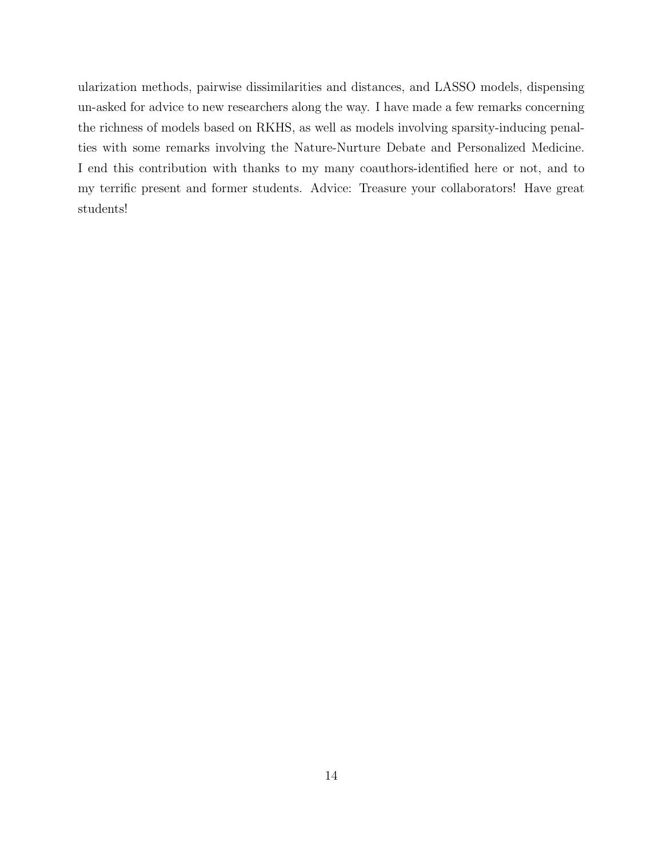ularization methods, pairwise dissimilarities and distances, and LASSO models, dispensing un-asked for advice to new researchers along the way. I have made a few remarks concerning the richness of models based on RKHS, as well as models involving sparsity-inducing penalties with some remarks involving the Nature-Nurture Debate and Personalized Medicine. I end this contribution with thanks to my many coauthors-identified here or not, and to my terrific present and former students. Advice: Treasure your collaborators! Have great students!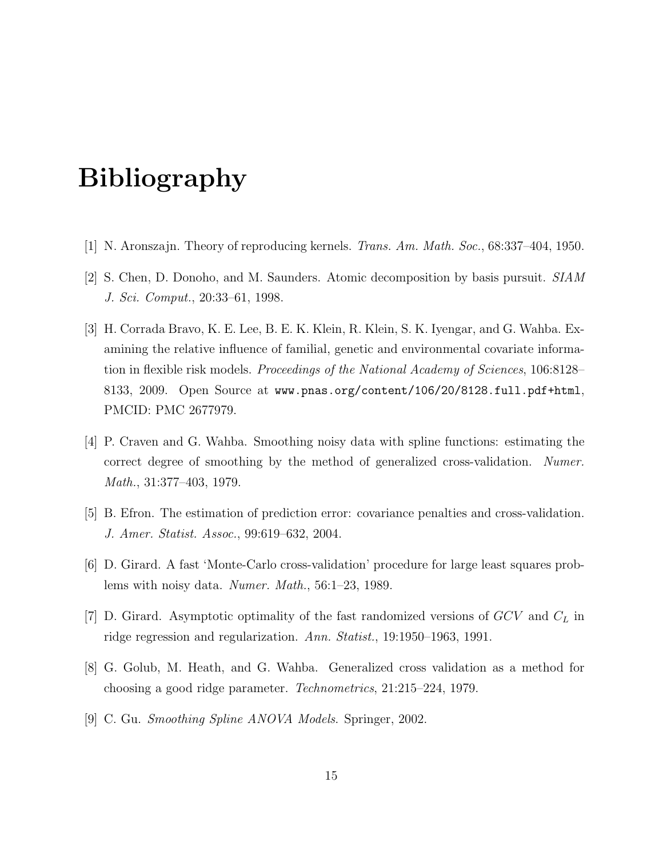# Bibliography

- <span id="page-15-0"></span>[1] N. Aronszajn. Theory of reproducing kernels. Trans. Am. Math. Soc., 68:337–404, 1950.
- <span id="page-15-8"></span>[2] S. Chen, D. Donoho, and M. Saunders. Atomic decomposition by basis pursuit. SIAM J. Sci. Comput., 20:33–61, 1998.
- <span id="page-15-7"></span>[3] H. Corrada Bravo, K. E. Lee, B. E. K. Klein, R. Klein, S. K. Iyengar, and G. Wahba. Examining the relative influence of familial, genetic and environmental covariate information in flexible risk models. Proceedings of the National Academy of Sciences, 106:8128– 8133, 2009. Open Source at www.pnas.org/content/106/20/8128.full.pdf+html, PMCID: PMC 2677979.
- <span id="page-15-1"></span>[4] P. Craven and G. Wahba. Smoothing noisy data with spline functions: estimating the correct degree of smoothing by the method of generalized cross-validation. Numer. Math., 31:377–403, 1979.
- <span id="page-15-5"></span>[5] B. Efron. The estimation of prediction error: covariance penalties and cross-validation. J. Amer. Statist. Assoc., 99:619–632, 2004.
- <span id="page-15-3"></span>[6] D. Girard. A fast 'Monte-Carlo cross-validation' procedure for large least squares problems with noisy data. Numer. Math., 56:1–23, 1989.
- <span id="page-15-4"></span>[7] D. Girard. Asymptotic optimality of the fast randomized versions of  $GCV$  and  $C<sub>L</sub>$  in ridge regression and regularization. Ann. Statist., 19:1950–1963, 1991.
- <span id="page-15-2"></span>[8] G. Golub, M. Heath, and G. Wahba. Generalized cross validation as a method for choosing a good ridge parameter. Technometrics, 21:215–224, 1979.
- <span id="page-15-6"></span>[9] C. Gu. Smoothing Spline ANOVA Models. Springer, 2002.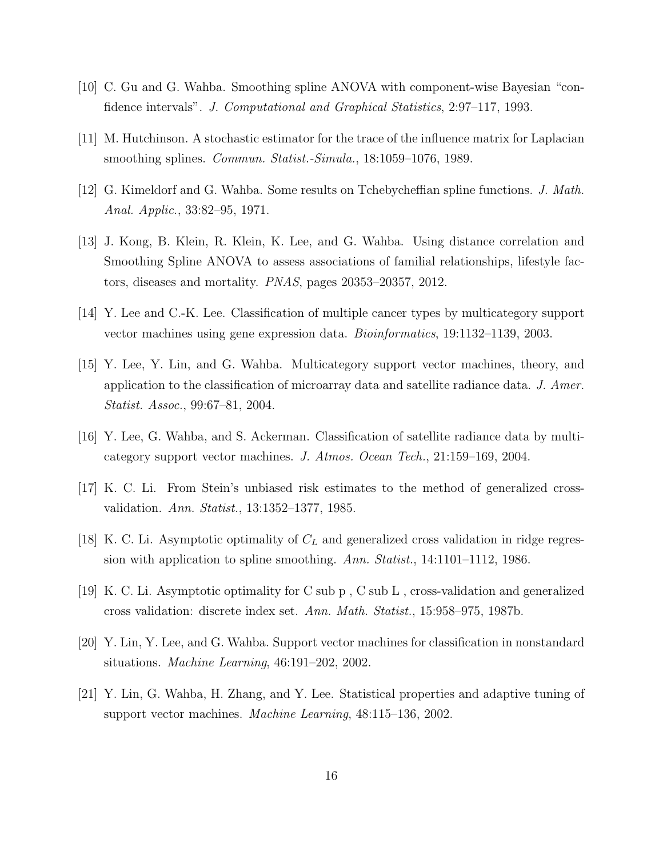- <span id="page-16-5"></span>[10] C. Gu and G. Wahba. Smoothing spline ANOVA with component-wise Bayesian "confidence intervals". J. Computational and Graphical Statistics, 2:97–117, 1993.
- <span id="page-16-4"></span>[11] M. Hutchinson. A stochastic estimator for the trace of the influence matrix for Laplacian smoothing splines. *Commun. Statist.-Simula.*, 18:1059–1076, 1989.
- <span id="page-16-0"></span>[12] G. Kimeldorf and G. Wahba. Some results on Tchebycheffian spline functions. J. Math. Anal. Applic., 33:82–95, 1971.
- <span id="page-16-11"></span>[13] J. Kong, B. Klein, R. Klein, K. Lee, and G. Wahba. Using distance correlation and Smoothing Spline ANOVA to assess associations of familial relationships, lifestyle factors, diseases and mortality. PNAS, pages 20353–20357, 2012.
- <span id="page-16-8"></span>[14] Y. Lee and C.-K. Lee. Classification of multiple cancer types by multicategory support vector machines using gene expression data. Bioinformatics, 19:1132–1139, 2003.
- <span id="page-16-9"></span>[15] Y. Lee, Y. Lin, and G. Wahba. Multicategory support vector machines, theory, and application to the classification of microarray data and satellite radiance data. J. Amer. Statist. Assoc., 99:67–81, 2004.
- <span id="page-16-10"></span>[16] Y. Lee, G. Wahba, and S. Ackerman. Classification of satellite radiance data by multicategory support vector machines. J. Atmos. Ocean Tech., 21:159–169, 2004.
- <span id="page-16-1"></span>[17] K. C. Li. From Stein's unbiased risk estimates to the method of generalized crossvalidation. Ann. Statist., 13:1352–1377, 1985.
- <span id="page-16-2"></span>[18] K. C. Li. Asymptotic optimality of  $C<sub>L</sub>$  and generalized cross validation in ridge regression with application to spline smoothing. Ann. Statist., 14:1101-1112, 1986.
- <span id="page-16-3"></span>[19] K. C. Li. Asymptotic optimality for C sub p , C sub L , cross-validation and generalized cross validation: discrete index set. Ann. Math. Statist., 15:958–975, 1987b.
- <span id="page-16-6"></span>[20] Y. Lin, Y. Lee, and G. Wahba. Support vector machines for classification in nonstandard situations. Machine Learning, 46:191–202, 2002.
- <span id="page-16-7"></span>[21] Y. Lin, G. Wahba, H. Zhang, and Y. Lee. Statistical properties and adaptive tuning of support vector machines. Machine Learning, 48:115–136, 2002.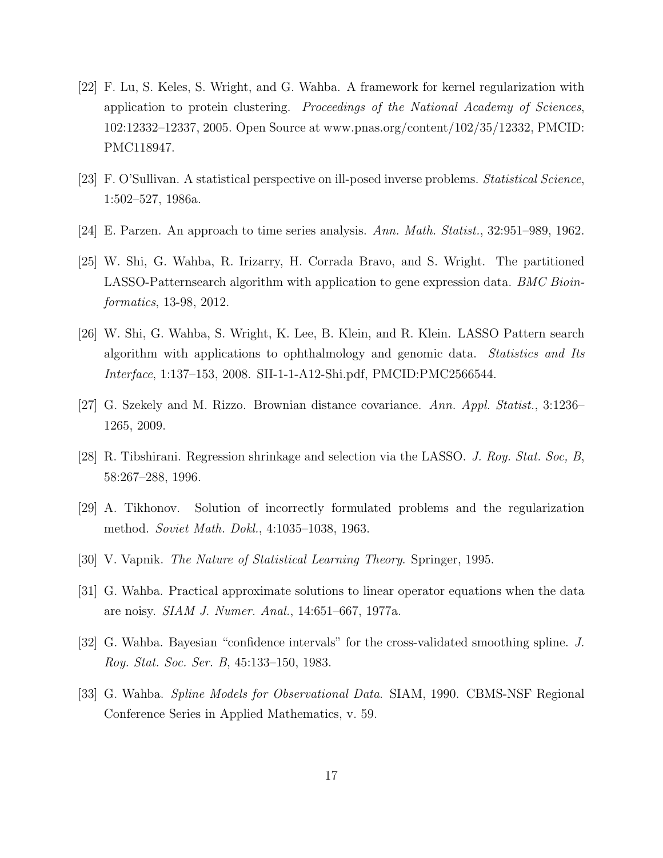- <span id="page-17-4"></span>[22] F. Lu, S. Keles, S. Wright, and G. Wahba. A framework for kernel regularization with application to protein clustering. Proceedings of the National Academy of Sciences, 102:12332–12337, 2005. Open Source at www.pnas.org/content/102/35/12332, PMCID: PMC118947.
- <span id="page-17-7"></span>[23] F. O'Sullivan. A statistical perspective on ill-posed inverse problems. Statistical Science, 1:502–527, 1986a.
- <span id="page-17-0"></span>[24] E. Parzen. An approach to time series analysis. Ann. Math. Statist., 32:951–989, 1962.
- <span id="page-17-10"></span>[25] W. Shi, G. Wahba, R. Irizarry, H. Corrada Bravo, and S. Wright. The partitioned LASSO-Patternsearch algorithm with application to gene expression data. BMC Bioinformatics, 13-98, 2012.
- <span id="page-17-11"></span>[26] W. Shi, G. Wahba, S. Wright, K. Lee, B. Klein, and R. Klein. LASSO Pattern search algorithm with applications to ophthalmology and genomic data. Statistics and Its Interface, 1:137–153, 2008. SII-1-1-A12-Shi.pdf, PMCID:PMC2566544.
- <span id="page-17-5"></span>[27] G. Szekely and M. Rizzo. Brownian distance covariance. Ann. Appl. Statist., 3:1236– 1265, 2009.
- <span id="page-17-9"></span>[28] R. Tibshirani. Regression shrinkage and selection via the LASSO. J. Roy. Stat. Soc, B, 58:267–288, 1996.
- <span id="page-17-6"></span>[29] A. Tikhonov. Solution of incorrectly formulated problems and the regularization method. Soviet Math. Dokl., 4:1035–1038, 1963.
- <span id="page-17-3"></span>[30] V. Vapnik. The Nature of Statistical Learning Theory. Springer, 1995.
- <span id="page-17-8"></span>[31] G. Wahba. Practical approximate solutions to linear operator equations when the data are noisy. SIAM J. Numer. Anal., 14:651–667, 1977a.
- <span id="page-17-2"></span>[32] G. Wahba. Bayesian "confidence intervals" for the cross-validated smoothing spline. J. Roy. Stat. Soc. Ser. B, 45:133–150, 1983.
- <span id="page-17-1"></span>[33] G. Wahba. Spline Models for Observational Data. SIAM, 1990. CBMS-NSF Regional Conference Series in Applied Mathematics, v. 59.